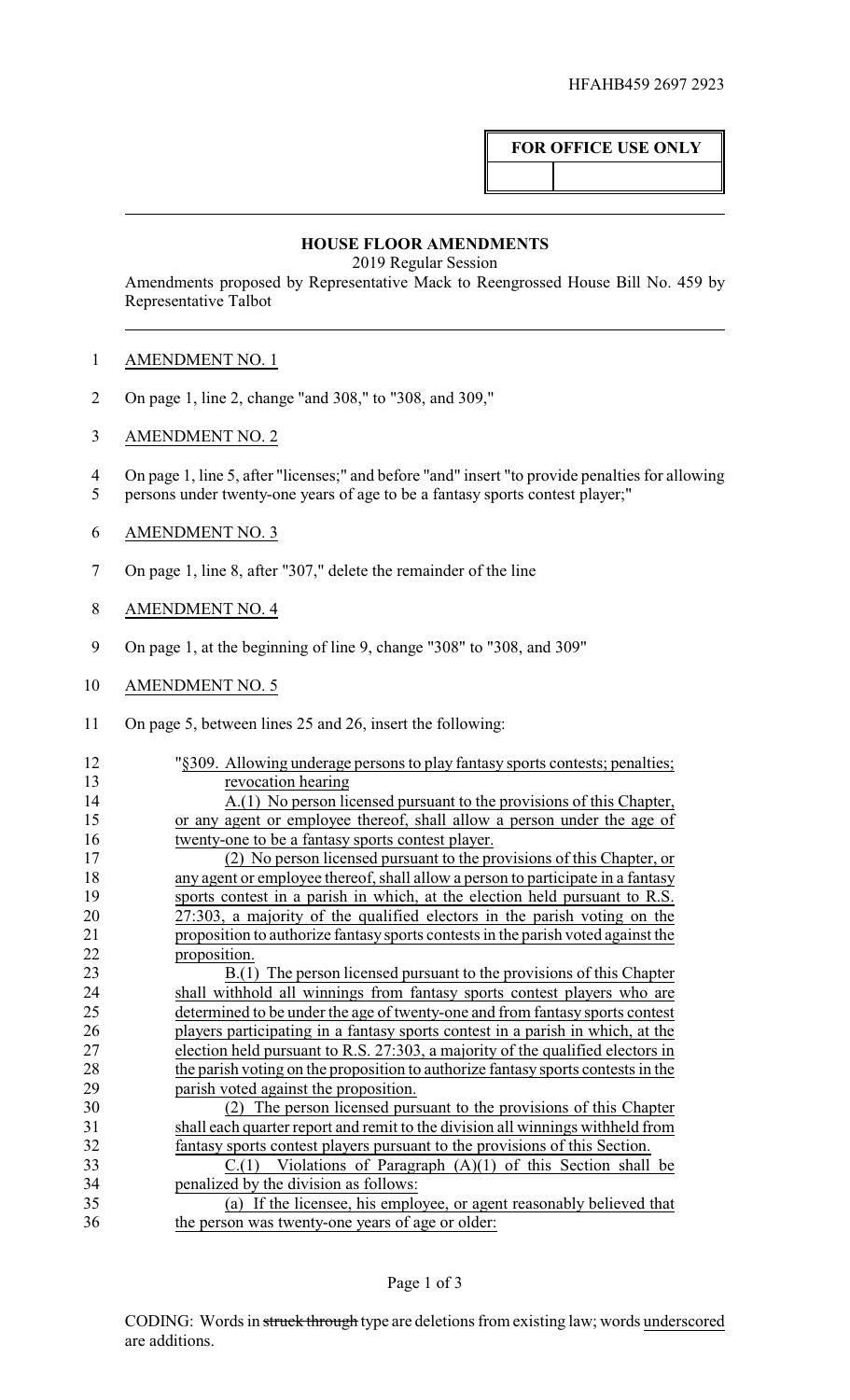## **FOR OFFICE USE ONLY**

## **HOUSE FLOOR AMENDMENTS**

2019 Regular Session

Amendments proposed by Representative Mack to Reengrossed House Bill No. 459 by Representative Talbot

## AMENDMENT NO. 1

- On page 1, line 2, change "and 308," to "308, and 309,"
- AMENDMENT NO. 2
- On page 1, line 5, after "licenses;" and before "and" insert "to provide penalties for allowing
- persons under twenty-one years of age to be a fantasy sports contest player;"
- AMENDMENT NO. 3
- On page 1, line 8, after "307," delete the remainder of the line
- AMENDMENT NO. 4
- On page 1, at the beginning of line 9, change "308" to "308, and 309"
- 10 AMENDMENT NO. 5
- On page 5, between lines 25 and 26, insert the following:

| 12 | "§309. Allowing underage persons to play fantasy sports contests; penalties;     |
|----|----------------------------------------------------------------------------------|
| 13 | revocation hearing                                                               |
| 14 | A.(1) No person licensed pursuant to the provisions of this Chapter,             |
| 15 | or any agent or employee thereof, shall allow a person under the age of          |
| 16 | twenty-one to be a fantasy sports contest player.                                |
| 17 | (2) No person licensed pursuant to the provisions of this Chapter, or            |
| 18 | any agent or employee thereof, shall allow a person to participate in a fantasy  |
| 19 | sports contest in a parish in which, at the election held pursuant to R.S.       |
| 20 | 27:303, a majority of the qualified electors in the parish voting on the         |
| 21 | proposition to authorize fantasy sports contests in the parish voted against the |
| 22 | proposition.                                                                     |
| 23 | B.(1) The person licensed pursuant to the provisions of this Chapter             |
| 24 | shall withhold all winnings from fantasy sports contest players who are          |
| 25 | determined to be under the age of twenty-one and from fantasy sports contest     |
| 26 | players participating in a fantasy sports contest in a parish in which, at the   |
| 27 | election held pursuant to R.S. 27:303, a majority of the qualified electors in   |
| 28 | the parish voting on the proposition to authorize fantasy sports contests in the |
| 29 | parish voted against the proposition.                                            |
| 30 | (2) The person licensed pursuant to the provisions of this Chapter               |
| 31 | shall each quarter report and remit to the division all winnings withheld from   |
| 32 | fantasy sports contest players pursuant to the provisions of this Section.       |
| 33 | $C(1)$ Violations of Paragraph $(A)(1)$ of this Section shall be                 |
| 34 | penalized by the division as follows:                                            |
| 35 | (a) If the licensee, his employee, or agent reasonably believed that             |
| 36 | the person was twenty-one years of age or older:                                 |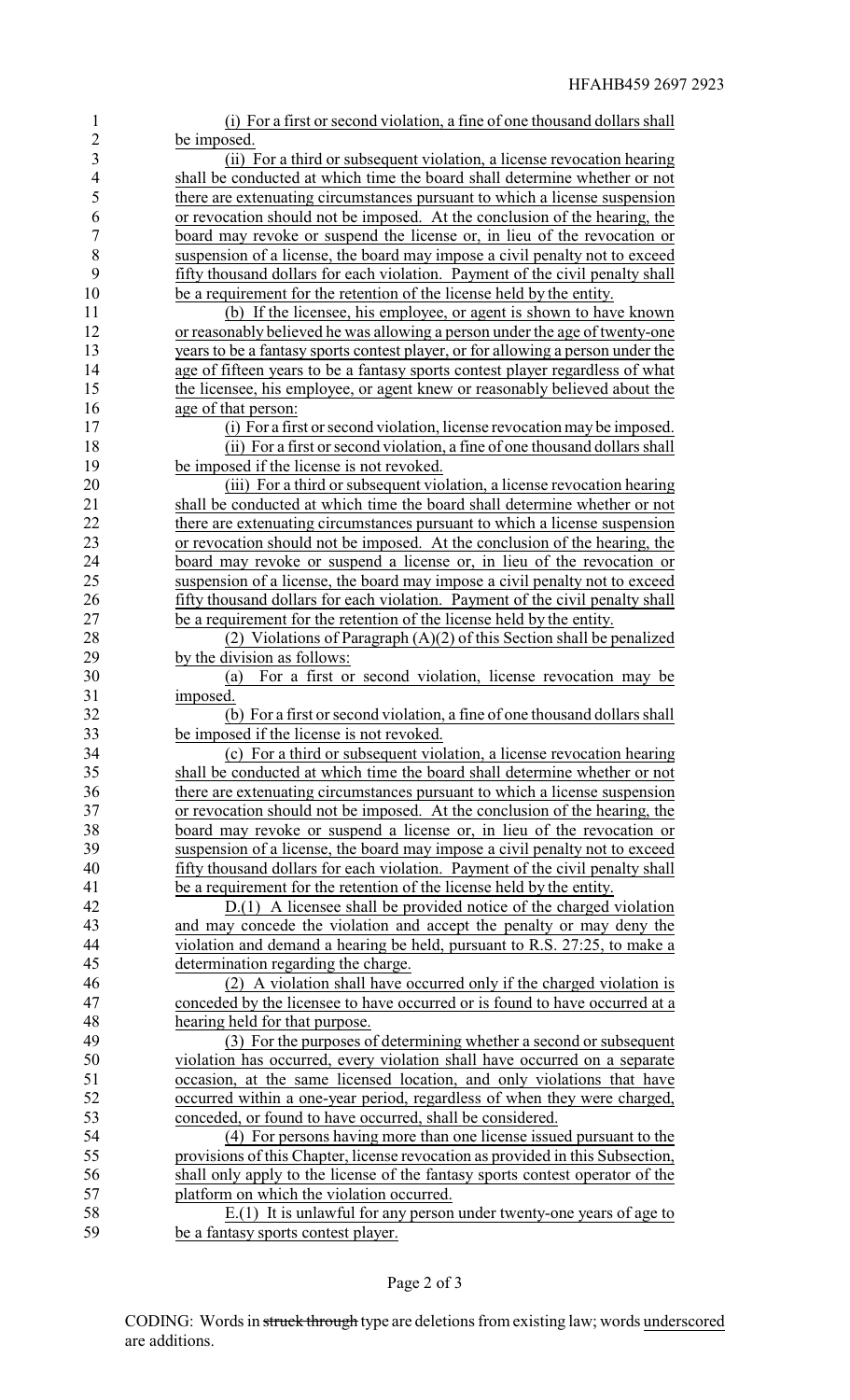| $\mathbf{1}$   | (i) For a first or second violation, a fine of one thousand dollars shall       |
|----------------|---------------------------------------------------------------------------------|
| $\overline{2}$ | be imposed.                                                                     |
| $\overline{3}$ | (ii) For a third or subsequent violation, a license revocation hearing          |
| $\overline{4}$ | shall be conducted at which time the board shall determine whether or not       |
| 5              | there are extenuating circumstances pursuant to which a license suspension      |
| 6              | or revocation should not be imposed. At the conclusion of the hearing, the      |
| $\overline{7}$ | board may revoke or suspend the license or, in lieu of the revocation or        |
| 8              | suspension of a license, the board may impose a civil penalty not to exceed     |
| 9              | fifty thousand dollars for each violation. Payment of the civil penalty shall   |
| 10             | be a requirement for the retention of the license held by the entity.           |
| 11             | (b) If the licensee, his employee, or agent is shown to have known              |
| 12             | or reasonably believed he was allowing a person under the age of twenty-one     |
| 13             | years to be a fantasy sports contest player, or for allowing a person under the |
| 14             | age of fifteen years to be a fantasy sports contest player regardless of what   |
| 15             | the licensee, his employee, or agent knew or reasonably believed about the      |
| 16             | age of that person:                                                             |
| 17             | (i) For a first or second violation, license revocation may be imposed.         |
| 18             | (ii) For a first or second violation, a fine of one thousand dollars shall      |
| 19             | be imposed if the license is not revoked.                                       |
| 20             | (iii) For a third or subsequent violation, a license revocation hearing         |
| 21             | shall be conducted at which time the board shall determine whether or not       |
| 22             | there are extenuating circumstances pursuant to which a license suspension      |
| 23             | or revocation should not be imposed. At the conclusion of the hearing, the      |
| 24             | board may revoke or suspend a license or, in lieu of the revocation or          |
| 25             | suspension of a license, the board may impose a civil penalty not to exceed     |
| 26             | fifty thousand dollars for each violation. Payment of the civil penalty shall   |
| 27             | be a requirement for the retention of the license held by the entity.           |
| 28             | (2) Violations of Paragraph $(A)(2)$ of this Section shall be penalized         |
| 29             | by the division as follows:                                                     |
| 30             | For a first or second violation, license revocation may be<br>(a)               |
| 31             | imposed.                                                                        |
| 32             | (b) For a first or second violation, a fine of one thousand dollars shall       |
| 33             | be imposed if the license is not revoked.                                       |
| 34             | (c) For a third or subsequent violation, a license revocation hearing           |
| 35             | shall be conducted at which time the board shall determine whether or not       |
| 36             | there are extenuating circumstances pursuant to which a license suspension      |
| 37             | or revocation should not be imposed. At the conclusion of the hearing, the      |
| 38             | board may revoke or suspend a license or, in lieu of the revocation or          |
| 39             | suspension of a license, the board may impose a civil penalty not to exceed     |
| 40             | fifty thousand dollars for each violation. Payment of the civil penalty shall   |
| 41             | be a requirement for the retention of the license held by the entity.           |
| 42             | $D(1)$ A licensee shall be provided notice of the charged violation             |
| 43             | and may concede the violation and accept the penalty or may deny the            |
| 44             | violation and demand a hearing be held, pursuant to R.S. 27:25, to make a       |
| 45             | determination regarding the charge.                                             |
| 46             | (2) A violation shall have occurred only if the charged violation is            |
| 47             | conceded by the licensee to have occurred or is found to have occurred at a     |
| 48             | hearing held for that purpose.                                                  |
| 49             | (3) For the purposes of determining whether a second or subsequent              |
| 50             | violation has occurred, every violation shall have occurred on a separate       |
| 51             | occasion, at the same licensed location, and only violations that have          |
| 52             | occurred within a one-year period, regardless of when they were charged,        |
| 53             | conceded, or found to have occurred, shall be considered.                       |
| 54             | (4) For persons having more than one license issued pursuant to the             |
| 55             | provisions of this Chapter, license revocation as provided in this Subsection,  |
| 56             | shall only apply to the license of the fantasy sports contest operator of the   |
| 57             | platform on which the violation occurred.                                       |
| 58             | $E(1)$ It is unlawful for any person under twenty-one years of age to           |
| 59             | be a fantasy sports contest player.                                             |